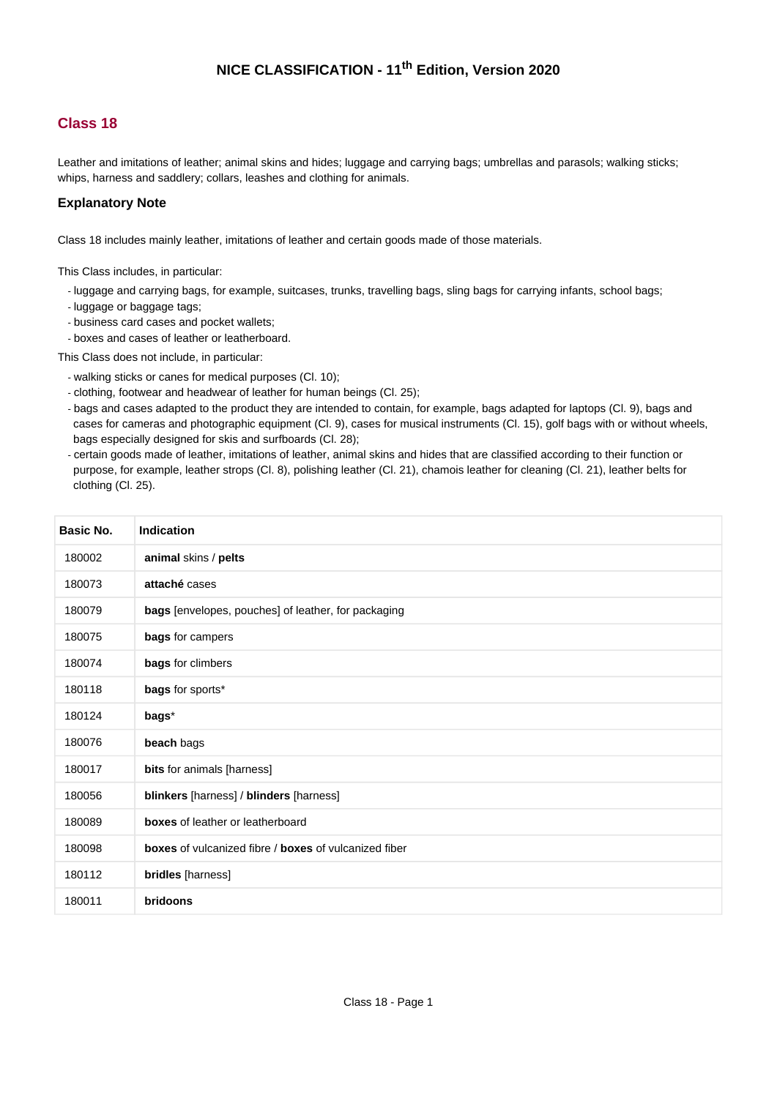### **Class 18**

Leather and imitations of leather; animal skins and hides; luggage and carrying bags; umbrellas and parasols; walking sticks; whips, harness and saddlery; collars, leashes and clothing for animals.

#### **Explanatory Note**

Class 18 includes mainly leather, imitations of leather and certain goods made of those materials.

This Class includes, in particular:

- luggage and carrying bags, for example, suitcases, trunks, travelling bags, sling bags for carrying infants, school bags;
- luggage or baggage tags;
- business card cases and pocket wallets;
- boxes and cases of leather or leatherboard.

This Class does not include, in particular:

- walking sticks or canes for medical purposes (Cl. 10);
- clothing, footwear and headwear of leather for human beings (Cl. 25);
- bags and cases adapted to the product they are intended to contain, for example, bags adapted for laptops (Cl. 9), bags and cases for cameras and photographic equipment (Cl. 9), cases for musical instruments (Cl. 15), golf bags with or without wheels, bags especially designed for skis and surfboards (Cl. 28);
- certain goods made of leather, imitations of leather, animal skins and hides that are classified according to their function or purpose, for example, leather strops (Cl. 8), polishing leather (Cl. 21), chamois leather for cleaning (Cl. 21), leather belts for clothing (Cl. 25).

| Basic No. | <b>Indication</b>                                                   |
|-----------|---------------------------------------------------------------------|
| 180002    | animal skins / pelts                                                |
| 180073    | attaché cases                                                       |
| 180079    | bags [envelopes, pouches] of leather, for packaging                 |
| 180075    | bags for campers                                                    |
| 180074    | bags for climbers                                                   |
| 180118    | bags for sports*                                                    |
| 180124    | bags*                                                               |
| 180076    | beach bags                                                          |
| 180017    | bits for animals [harness]                                          |
| 180056    | blinkers [harness] / blinders [harness]                             |
| 180089    | <b>boxes</b> of leather or leatherboard                             |
| 180098    | <b>boxes</b> of vulcanized fibre / <b>boxes</b> of vulcanized fiber |
| 180112    | bridles [harness]                                                   |
| 180011    | bridoons                                                            |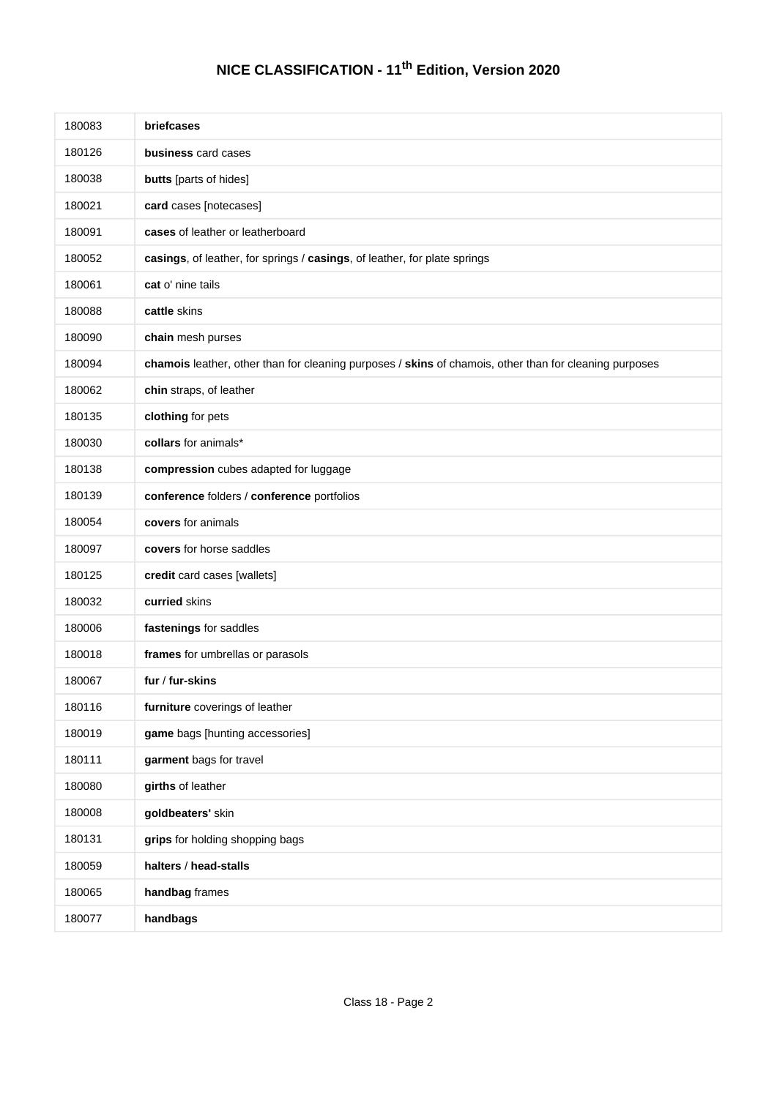| 180083 | <b>briefcases</b>                                                                                      |
|--------|--------------------------------------------------------------------------------------------------------|
| 180126 | business card cases                                                                                    |
| 180038 | <b>butts</b> [parts of hides]                                                                          |
| 180021 | card cases [notecases]                                                                                 |
| 180091 | cases of leather or leatherboard                                                                       |
| 180052 | casings, of leather, for springs / casings, of leather, for plate springs                              |
| 180061 | cat o' nine tails                                                                                      |
| 180088 | cattle skins                                                                                           |
| 180090 | chain mesh purses                                                                                      |
| 180094 | chamois leather, other than for cleaning purposes / skins of chamois, other than for cleaning purposes |
| 180062 | chin straps, of leather                                                                                |
| 180135 | clothing for pets                                                                                      |
| 180030 | collars for animals*                                                                                   |
| 180138 | compression cubes adapted for luggage                                                                  |
| 180139 | conference folders / conference portfolios                                                             |
| 180054 | covers for animals                                                                                     |
| 180097 | covers for horse saddles                                                                               |
| 180125 | credit card cases [wallets]                                                                            |
| 180032 | curried skins                                                                                          |
| 180006 | fastenings for saddles                                                                                 |
| 180018 | frames for umbrellas or parasols                                                                       |
| 180067 | fur / fur-skins                                                                                        |
| 180116 | furniture coverings of leather                                                                         |
| 180019 | game bags [hunting accessories]                                                                        |
| 180111 | garment bags for travel                                                                                |
| 180080 | girths of leather                                                                                      |
| 180008 | goldbeaters' skin                                                                                      |
| 180131 | grips for holding shopping bags                                                                        |
| 180059 | halters / head-stalls                                                                                  |
| 180065 | handbag frames                                                                                         |
| 180077 | handbags                                                                                               |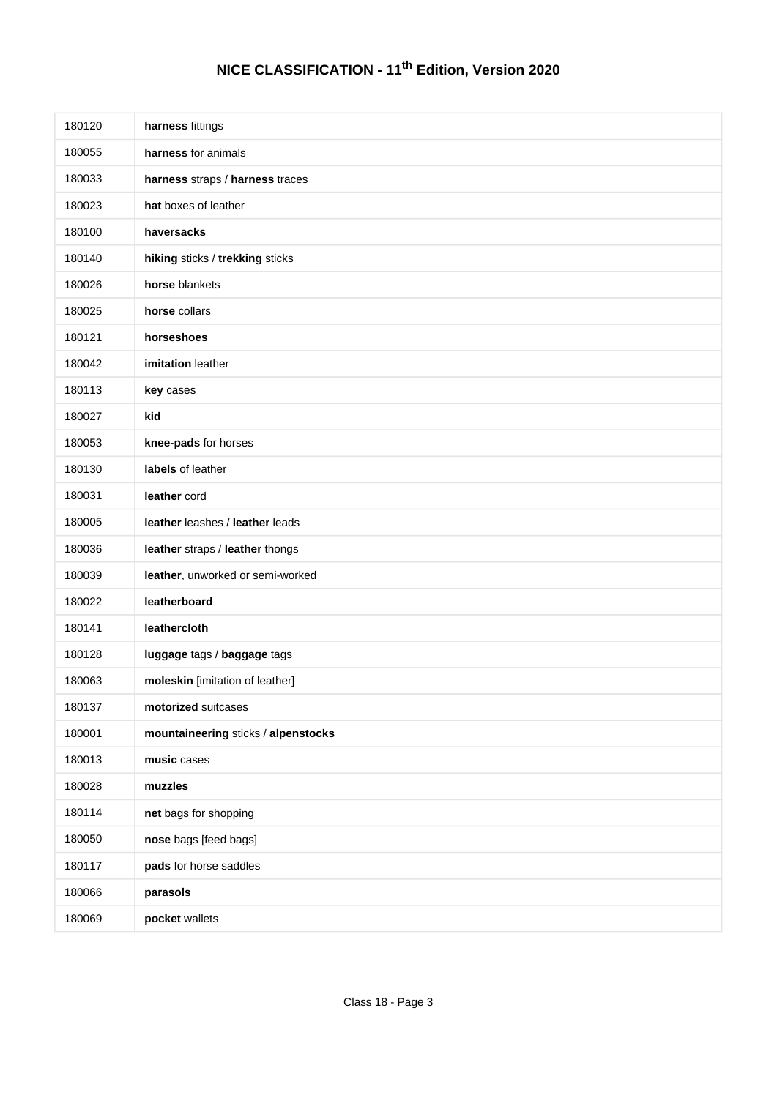| 180120 | harness fittings                    |
|--------|-------------------------------------|
| 180055 | harness for animals                 |
| 180033 | harness straps / harness traces     |
| 180023 | hat boxes of leather                |
| 180100 | haversacks                          |
| 180140 | hiking sticks / trekking sticks     |
| 180026 | horse blankets                      |
| 180025 | horse collars                       |
| 180121 | horseshoes                          |
| 180042 | <b>imitation</b> leather            |
| 180113 | key cases                           |
| 180027 | kid                                 |
| 180053 | knee-pads for horses                |
| 180130 | labels of leather                   |
| 180031 | leather cord                        |
| 180005 | leather leashes / leather leads     |
| 180036 | leather straps / leather thongs     |
| 180039 | leather, unworked or semi-worked    |
| 180022 | leatherboard                        |
| 180141 | leathercloth                        |
| 180128 | luggage tags / baggage tags         |
| 180063 | moleskin [imitation of leather]     |
| 180137 | motorized suitcases                 |
| 180001 | mountaineering sticks / alpenstocks |
| 180013 | music cases                         |
| 180028 | muzzles                             |
| 180114 | net bags for shopping               |
| 180050 | nose bags [feed bags]               |
| 180117 | pads for horse saddles              |
| 180066 | parasols                            |
| 180069 | pocket wallets                      |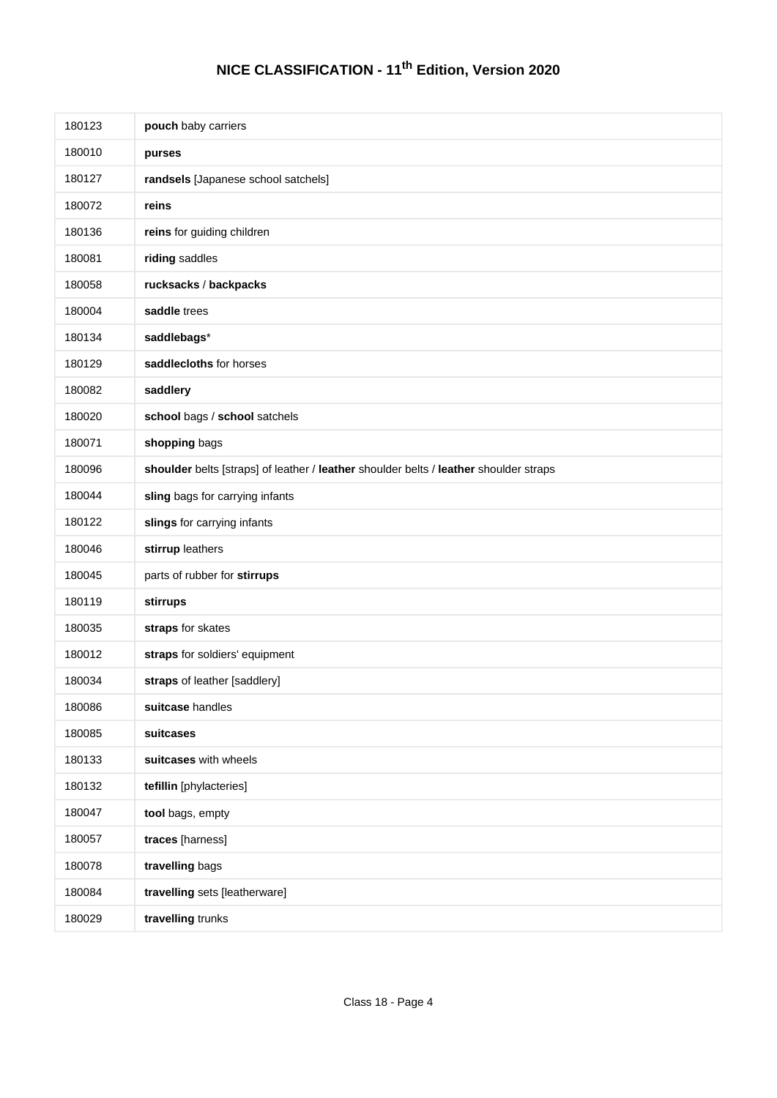| 180123 | pouch baby carriers                                                                   |
|--------|---------------------------------------------------------------------------------------|
| 180010 | purses                                                                                |
| 180127 | randsels [Japanese school satchels]                                                   |
| 180072 | reins                                                                                 |
| 180136 | reins for guiding children                                                            |
| 180081 | riding saddles                                                                        |
| 180058 | rucksacks / backpacks                                                                 |
| 180004 | saddle trees                                                                          |
| 180134 | saddlebags*                                                                           |
| 180129 | saddlecloths for horses                                                               |
| 180082 | saddlery                                                                              |
| 180020 | school bags / school satchels                                                         |
| 180071 | shopping bags                                                                         |
| 180096 | shoulder belts [straps] of leather / leather shoulder belts / leather shoulder straps |
| 180044 | sling bags for carrying infants                                                       |
| 180122 | slings for carrying infants                                                           |
| 180046 | stirrup leathers                                                                      |
| 180045 | parts of rubber for stirrups                                                          |
| 180119 | stirrups                                                                              |
| 180035 | straps for skates                                                                     |
| 180012 | straps for soldiers' equipment                                                        |
| 180034 | straps of leather [saddlery]                                                          |
| 180086 | suitcase handles                                                                      |
| 180085 | suitcases                                                                             |
| 180133 | suitcases with wheels                                                                 |
| 180132 | tefillin [phylacteries]                                                               |
| 180047 | tool bags, empty                                                                      |
| 180057 | traces [harness]                                                                      |
| 180078 | travelling bags                                                                       |
| 180084 | travelling sets [leatherware]                                                         |
| 180029 | travelling trunks                                                                     |